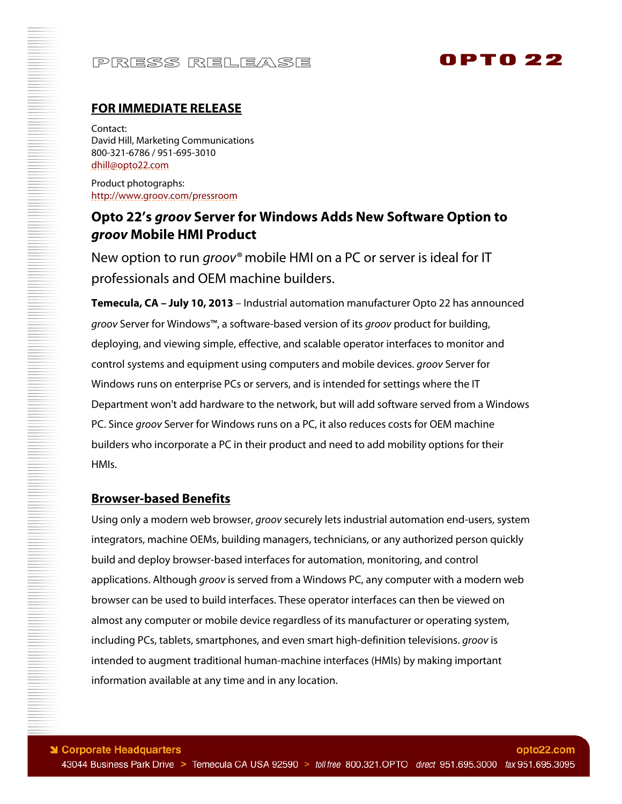# PRESS RELEASE

# 0PT0 22

### **FOR IMMEDIATE RELEASE**

Contact: David Hill, Marketing Communications 800-321-6786 / 951-695-3010 dhill@opto22.com

Product photographs: http://www.groov.com/pressroom

### **Opto 22's** *groov* **Server for Windows Adds New Software Option to**  *groov* **Mobile HMI Product**

New option to run *groov*<sup>®</sup> mobile HMI on a PC or server is ideal for IT professionals and OEM machine builders.

**Temecula, CA – July 10, 2013** – Industrial automation manufacturer Opto 22 has announced groov Server for Windows™, a software-based version of its groov product for building, deploying, and viewing simple, effective, and scalable operator interfaces to monitor and control systems and equipment using computers and mobile devices. groov Server for Windows runs on enterprise PCs or servers, and is intended for settings where the IT Department won't add hardware to the network, but will add software served from a Windows PC. Since groov Server for Windows runs on a PC, it also reduces costs for OEM machine builders who incorporate a PC in their product and need to add mobility options for their HMIs.

#### **Browser-based Benefits**

Using only a modern web browser, groov securely lets industrial automation end-users, system integrators, machine OEMs, building managers, technicians, or any authorized person quickly build and deploy browser-based interfaces for automation, monitoring, and control applications. Although groov is served from a Windows PC, any computer with a modern web browser can be used to build interfaces. These operator interfaces can then be viewed on almost any computer or mobile device regardless of its manufacturer or operating system, including PCs, tablets, smartphones, and even smart high-definition televisions. *groov* is intended to augment traditional human-machine interfaces (HMIs) by making important information available at any time and in any location.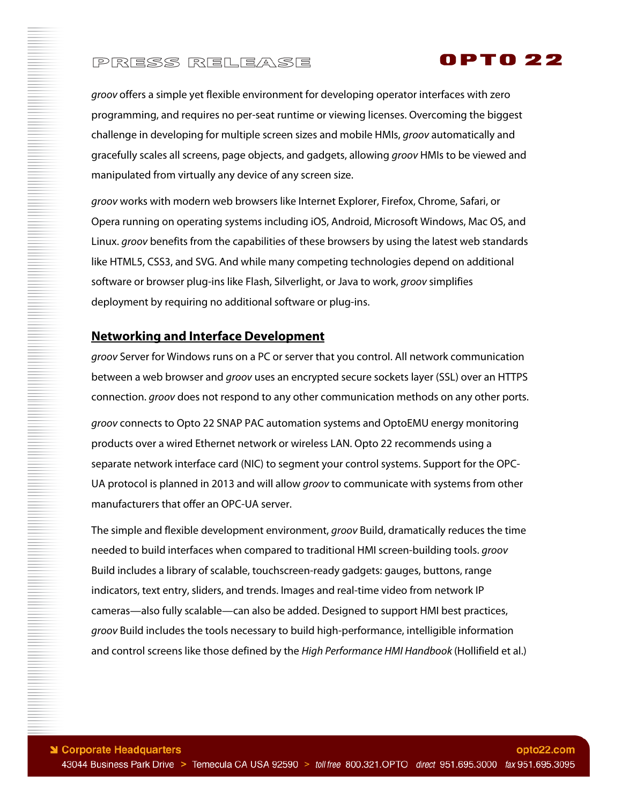# PRESS RELEASE

groov offers a simple yet flexible environment for developing operator interfaces with zero programming, and requires no per-seat runtime or viewing licenses. Overcoming the biggest challenge in developing for multiple screen sizes and mobile HMIs, groov automatically and gracefully scales all screens, page objects, and gadgets, allowing groov HMIs to be viewed and manipulated from virtually any device of any screen size.

OPTO 22

groov works with modern web browsers like Internet Explorer, Firefox, Chrome, Safari, or Opera running on operating systems including iOS, Android, Microsoft Windows, Mac OS, and Linux. *groov* benefits from the capabilities of these browsers by using the latest web standards like HTML5, CSS3, and SVG. And while many competing technologies depend on additional software or browser plug-ins like Flash, Silverlight, or Java to work, groov simplifies deployment by requiring no additional software or plug-ins.

#### **Networking and Interface Development**

groov Server for Windows runs on a PC or server that you control. All network communication between a web browser and *groov* uses an encrypted secure sockets layer (SSL) over an HTTPS connection. groov does not respond to any other communication methods on any other ports.

groov connects to Opto 22 SNAP PAC automation systems and OptoEMU energy monitoring products over a wired Ethernet network or wireless LAN. Opto 22 recommends using a separate network interface card (NIC) to segment your control systems. Support for the OPC-UA protocol is planned in 2013 and will allow groov to communicate with systems from other manufacturers that offer an OPC-UA server.

The simple and flexible development environment, groov Build, dramatically reduces the time needed to build interfaces when compared to traditional HMI screen-building tools. groov Build includes a library of scalable, touchscreen-ready gadgets: gauges, buttons, range indicators, text entry, sliders, and trends. Images and real-time video from network IP cameras—also fully scalable—can also be added. Designed to support HMI best practices, groov Build includes the tools necessary to build high-performance, intelligible information and control screens like those defined by the High Performance HMI Handbook (Hollifield et al.)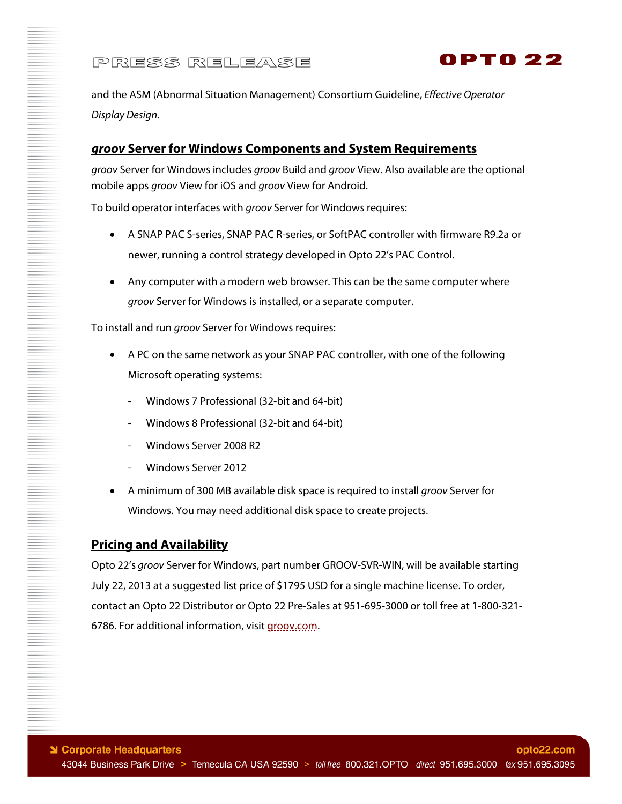

and the ASM (Abnormal Situation Management) Consortium Guideline, Effective Operator Display Design.

### *groov* **Server for Windows Components and System Requirements**

groov Server for Windows includes groov Build and groov View. Also available are the optional mobile apps groov View for iOS and groov View for Android.

To build operator interfaces with *groov* Server for Windows requires:

- A SNAP PAC S-series, SNAP PAC R-series, or SoftPAC controller with firmware R9.2a or newer, running a control strategy developed in Opto 22's PAC Control.
- Any computer with a modern web browser. This can be the same computer where groov Server for Windows is installed, or a separate computer.

To install and run groov Server for Windows requires:

- A PC on the same network as your SNAP PAC controller, with one of the following Microsoft operating systems:
	- Windows 7 Professional (32-bit and 64-bit)
	- Windows 8 Professional (32-bit and 64-bit)
	- Windows Server 2008 R2
	- Windows Server 2012
- A minimum of 300 MB available disk space is required to install groov Server for Windows. You may need additional disk space to create projects.

#### **Pricing and Availability**

Opto 22's groov Server for Windows, part number GROOV-SVR-WIN, will be available starting July 22, 2013 at a suggested list price of \$1795 USD for a single machine license. To order, contact an Opto 22 Distributor or Opto 22 Pre-Sales at 951-695-3000 or toll free at 1-800-321- 6786. For additional information, visit groov.com.